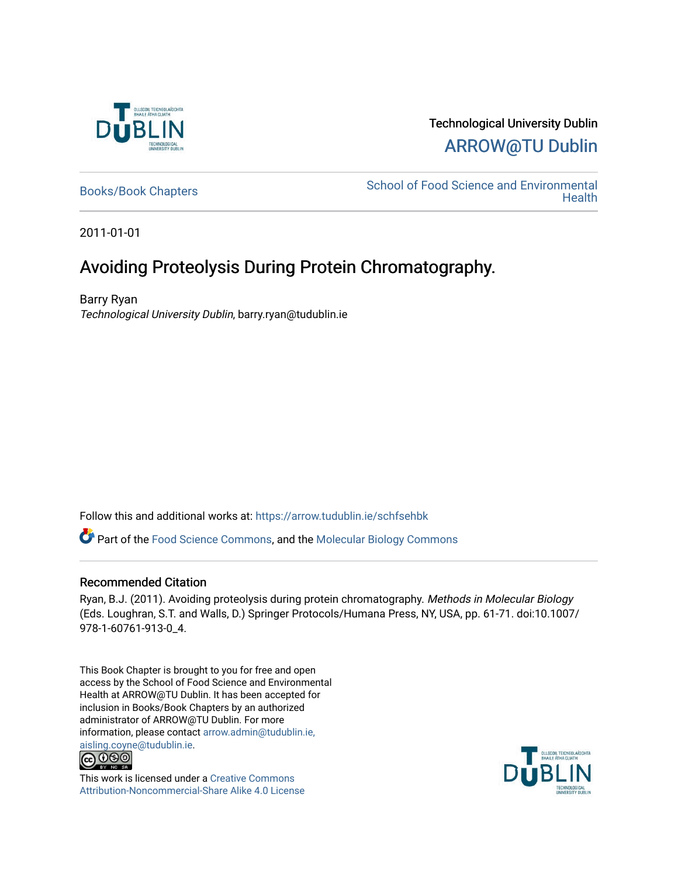

# Technological University Dublin [ARROW@TU Dublin](https://arrow.tudublin.ie/)

[Books/Book Chapters](https://arrow.tudublin.ie/schfsehbk) School of Food Science and Environmental **Health** 

2011-01-01

# Avoiding Proteolysis During Protein Chromatography.

Barry Ryan Technological University Dublin, barry.ryan@tudublin.ie

Follow this and additional works at: [https://arrow.tudublin.ie/schfsehbk](https://arrow.tudublin.ie/schfsehbk?utm_source=arrow.tudublin.ie%2Fschfsehbk%2F3&utm_medium=PDF&utm_campaign=PDFCoverPages) 

Part of the [Food Science Commons,](http://network.bepress.com/hgg/discipline/84?utm_source=arrow.tudublin.ie%2Fschfsehbk%2F3&utm_medium=PDF&utm_campaign=PDFCoverPages) and the [Molecular Biology Commons](http://network.bepress.com/hgg/discipline/5?utm_source=arrow.tudublin.ie%2Fschfsehbk%2F3&utm_medium=PDF&utm_campaign=PDFCoverPages) 

## Recommended Citation

Ryan, B.J. (2011). Avoiding proteolysis during protein chromatography. Methods in Molecular Biology (Eds. Loughran, S.T. and Walls, D.) Springer Protocols/Humana Press, NY, USA, pp. 61-71. doi:10.1007/ 978-1-60761-913-0\_4.

This Book Chapter is brought to you for free and open access by the School of Food Science and Environmental Health at ARROW@TU Dublin. It has been accepted for inclusion in Books/Book Chapters by an authorized administrator of ARROW@TU Dublin. For more information, please contact [arrow.admin@tudublin.ie,](mailto:arrow.admin@tudublin.ie,%20aisling.coyne@tudublin.ie)  [aisling.coyne@tudublin.ie.](mailto:arrow.admin@tudublin.ie,%20aisling.coyne@tudublin.ie)<br>© 090



This work is licensed under a [Creative Commons](http://creativecommons.org/licenses/by-nc-sa/4.0/) [Attribution-Noncommercial-Share Alike 4.0 License](http://creativecommons.org/licenses/by-nc-sa/4.0/)

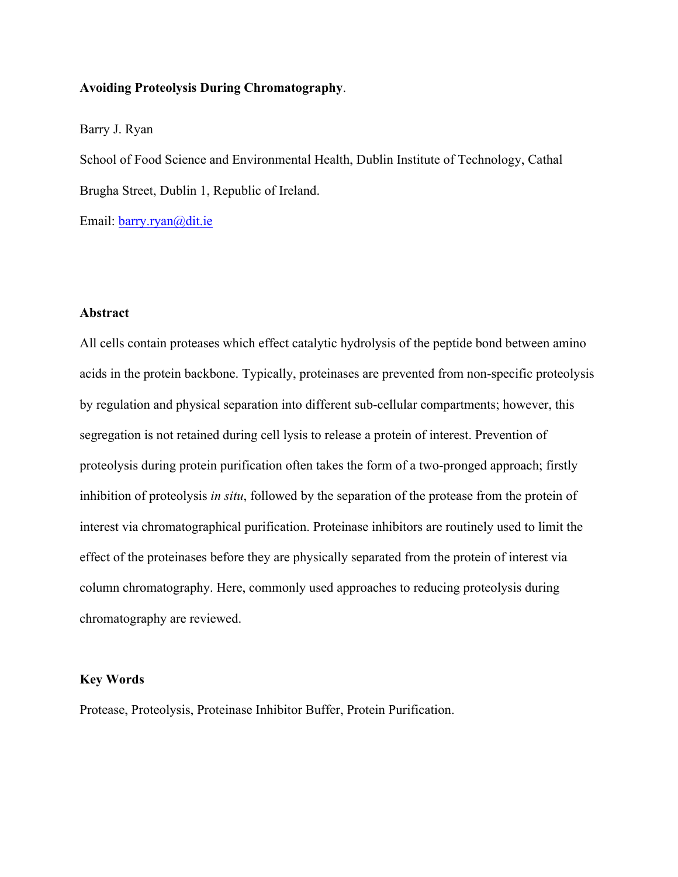## **Avoiding Proteolysis During Chromatography**.

## Barry J. Ryan

School of Food Science and Environmental Health, Dublin Institute of Technology, Cathal Brugha Street, Dublin 1, Republic of Ireland.

Email: barry.ryan@dit.ie

## **Abstract**

All cells contain proteases which effect catalytic hydrolysis of the peptide bond between amino acids in the protein backbone. Typically, proteinases are prevented from non-specific proteolysis by regulation and physical separation into different sub-cellular compartments; however, this segregation is not retained during cell lysis to release a protein of interest. Prevention of proteolysis during protein purification often takes the form of a two-pronged approach; firstly inhibition of proteolysis *in situ*, followed by the separation of the protease from the protein of interest via chromatographical purification. Proteinase inhibitors are routinely used to limit the effect of the proteinases before they are physically separated from the protein of interest via column chromatography. Here, commonly used approaches to reducing proteolysis during chromatography are reviewed.

## **Key Words**

Protease, Proteolysis, Proteinase Inhibitor Buffer, Protein Purification.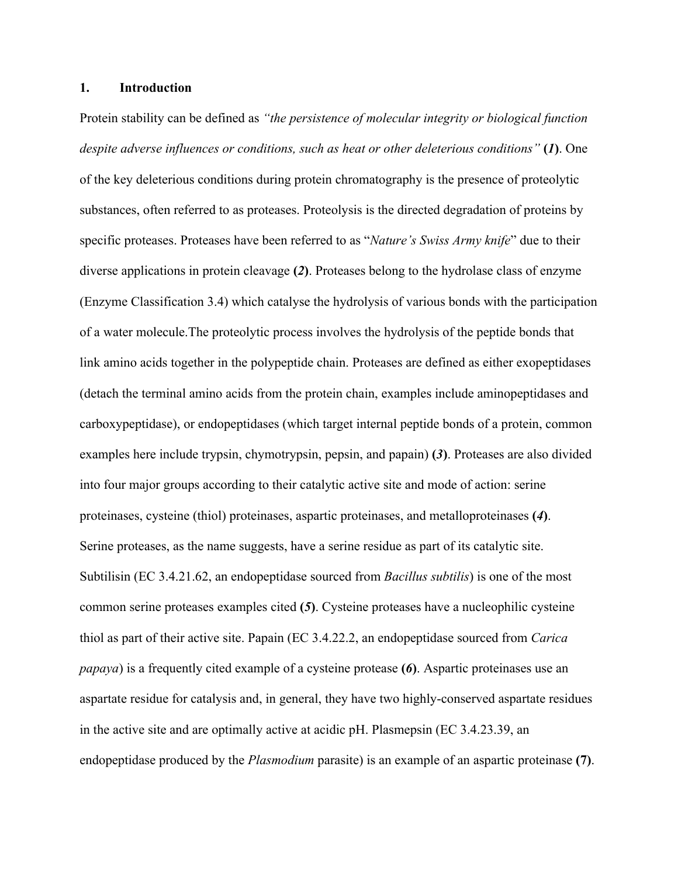## **1. Introduction**

Protein stability can be defined as *"the persistence of molecular integrity or biological function despite adverse influences or conditions, such as heat or other deleterious conditions"* **(***1***)**. One of the key deleterious conditions during protein chromatography is the presence of proteolytic substances, often referred to as proteases. Proteolysis is the directed degradation of proteins by specific proteases. Proteases have been referred to as "*Nature's Swiss Army knife*" due to their diverse applications in protein cleavage **(***2***)**. Proteases belong to the hydrolase class of enzyme (Enzyme Classification 3.4) which catalyse the hydrolysis of various bonds with the participation of a water molecule.The proteolytic process involves the hydrolysis of the peptide bonds that link amino acids together in the polypeptide chain. Proteases are defined as either exopeptidases (detach the terminal amino acids from the protein chain, examples include aminopeptidases and carboxypeptidase), or endopeptidases (which target internal peptide bonds of a protein, common examples here include trypsin, chymotrypsin, pepsin, and papain) **(***3***)**. Proteases are also divided into four major groups according to their catalytic active site and mode of action: serine proteinases, cysteine (thiol) proteinases, aspartic proteinases, and metalloproteinases **(***4***)**. Serine proteases, as the name suggests, have a serine residue as part of its catalytic site. Subtilisin (EC 3.4.21.62, an endopeptidase sourced from *Bacillus subtilis*) is one of the most common serine proteases examples cited **(***5***)**. Cysteine proteases have a nucleophilic cysteine thiol as part of their active site. Papain (EC 3.4.22.2, an endopeptidase sourced from *Carica papaya*) is a frequently cited example of a cysteine protease **(***6***)**. Aspartic proteinases use an aspartate residue for catalysis and, in general, they have two highly-conserved aspartate residues in the active site and are optimally active at acidic pH. Plasmepsin (EC 3.4.23.39, an endopeptidase produced by the *Plasmodium* parasite) is an example of an aspartic proteinase **(7)**.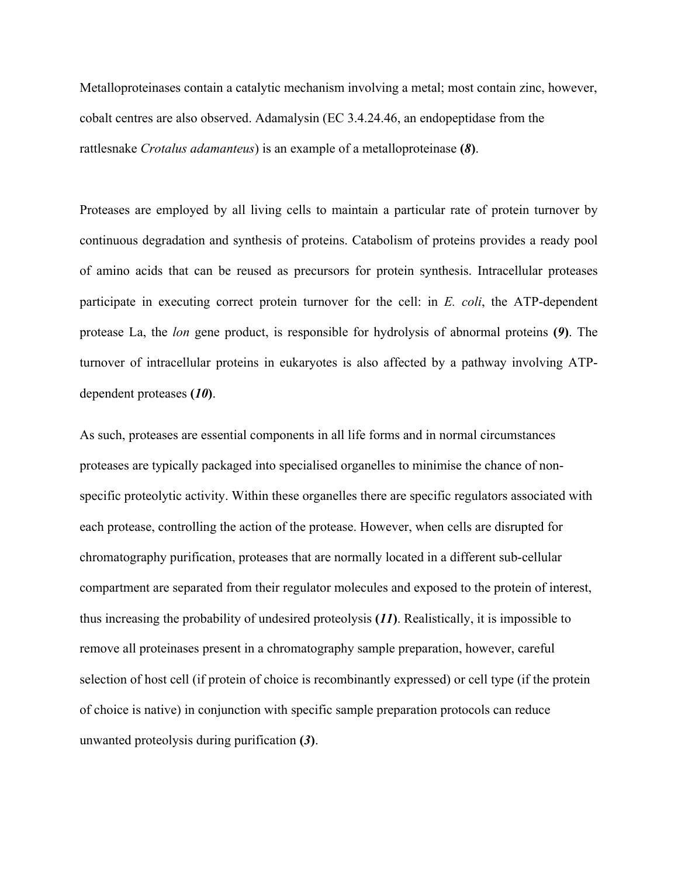Metalloproteinases contain a catalytic mechanism involving a metal; most contain zinc, however, cobalt centres are also observed. Adamalysin (EC 3.4.24.46, an endopeptidase from the rattlesnake *Crotalus adamanteus*) is an example of a metalloproteinase **(***8***)**.

Proteases are employed by all living cells to maintain a particular rate of protein turnover by continuous degradation and synthesis of proteins. Catabolism of proteins provides a ready pool of amino acids that can be reused as precursors for protein synthesis. Intracellular proteases participate in executing correct protein turnover for the cell: in *E. coli*, the ATP-dependent protease La, the *lon* gene product, is responsible for hydrolysis of abnormal proteins **(***9***)**. The turnover of intracellular proteins in eukaryotes is also affected by a pathway involving ATPdependent proteases **(***10***)**.

As such, proteases are essential components in all life forms and in normal circumstances proteases are typically packaged into specialised organelles to minimise the chance of nonspecific proteolytic activity. Within these organelles there are specific regulators associated with each protease, controlling the action of the protease. However, when cells are disrupted for chromatography purification, proteases that are normally located in a different sub-cellular compartment are separated from their regulator molecules and exposed to the protein of interest, thus increasing the probability of undesired proteolysis **(***11***)**. Realistically, it is impossible to remove all proteinases present in a chromatography sample preparation, however, careful selection of host cell (if protein of choice is recombinantly expressed) or cell type (if the protein of choice is native) in conjunction with specific sample preparation protocols can reduce unwanted proteolysis during purification **(***3***)**.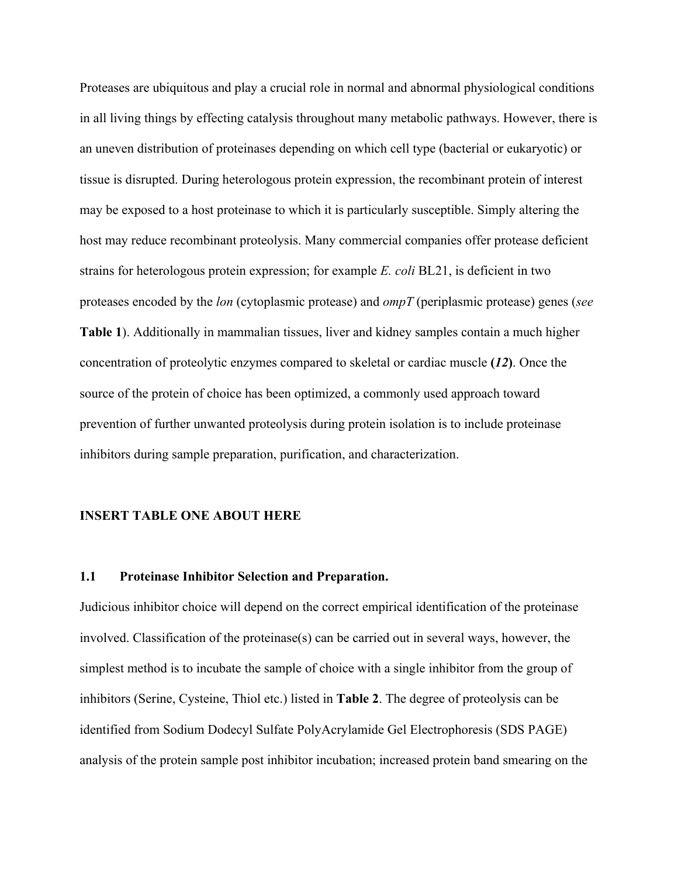Proteases are ubiquitous and play a crucial role in normal and abnormal physiological conditions in all living things by effecting catalysis throughout many metabolic pathways. However, there is an uneven distribution of proteinases depending on which cell type (bacterial or eukaryotic) or tissue is disrupted. During heterologous protein expression, the recombinant protein of interest may be exposed to a host proteinase to which it is particularly susceptible. Simply altering the host may reduce recombinant proteolysis. Many commercial companies offer protease deficient strains for heterologous protein expression; for example *E. coli* BL21, is deficient in two proteases encoded by the *lon* (cytoplasmic protease) and *ompT* (periplasmic protease) genes (*see* **Table 1**). Additionally in mammalian tissues, liver and kidney samples contain a much higher concentration of proteolytic enzymes compared to skeletal or cardiac muscle **(***12***)**. Once the source of the protein of choice has been optimized, a commonly used approach toward prevention of further unwanted proteolysis during protein isolation is to include proteinase inhibitors during sample preparation, purification, and characterization.

#### **INSERT TABLE ONE ABOUT HERE**

#### **1.1 Proteinase Inhibitor Selection and Preparation.**

Judicious inhibitor choice will depend on the correct empirical identification of the proteinase involved. Classification of the proteinase(s) can be carried out in several ways, however, the simplest method is to incubate the sample of choice with a single inhibitor from the group of inhibitors (Serine, Cysteine, Thiol etc.) listed in **Table 2**. The degree of proteolysis can be identified from Sodium Dodecyl Sulfate PolyAcrylamide Gel Electrophoresis (SDS PAGE) analysis of the protein sample post inhibitor incubation; increased protein band smearing on the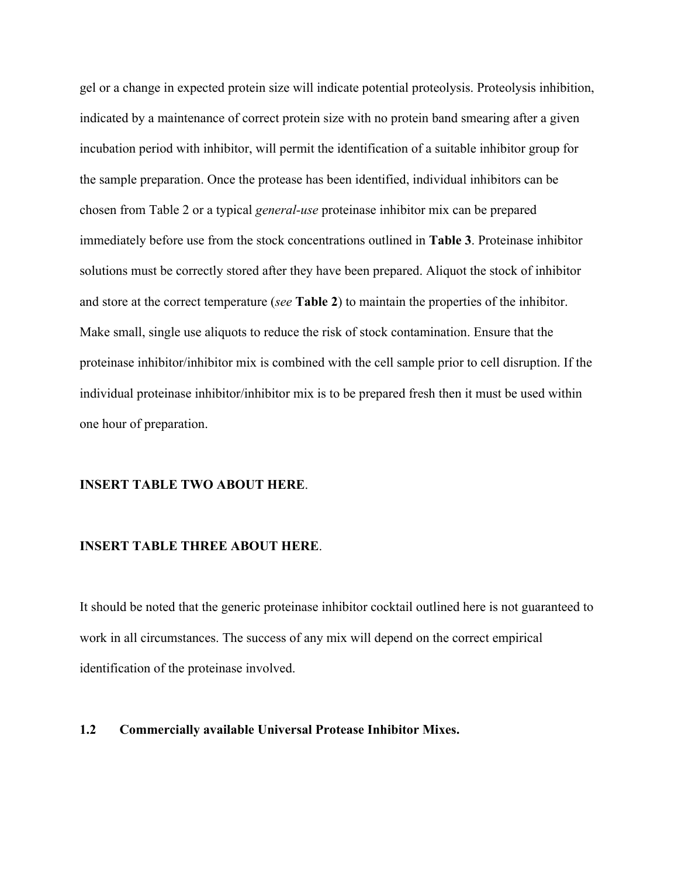gel or a change in expected protein size will indicate potential proteolysis. Proteolysis inhibition, indicated by a maintenance of correct protein size with no protein band smearing after a given incubation period with inhibitor, will permit the identification of a suitable inhibitor group for the sample preparation. Once the protease has been identified, individual inhibitors can be chosen from Table 2 or a typical *general-use* proteinase inhibitor mix can be prepared immediately before use from the stock concentrations outlined in **Table 3**. Proteinase inhibitor solutions must be correctly stored after they have been prepared. Aliquot the stock of inhibitor and store at the correct temperature (*see* **Table 2**) to maintain the properties of the inhibitor. Make small, single use aliquots to reduce the risk of stock contamination. Ensure that the proteinase inhibitor/inhibitor mix is combined with the cell sample prior to cell disruption. If the individual proteinase inhibitor/inhibitor mix is to be prepared fresh then it must be used within one hour of preparation.

## **INSERT TABLE TWO ABOUT HERE**.

#### **INSERT TABLE THREE ABOUT HERE**.

It should be noted that the generic proteinase inhibitor cocktail outlined here is not guaranteed to work in all circumstances. The success of any mix will depend on the correct empirical identification of the proteinase involved.

#### **1.2 Commercially available Universal Protease Inhibitor Mixes.**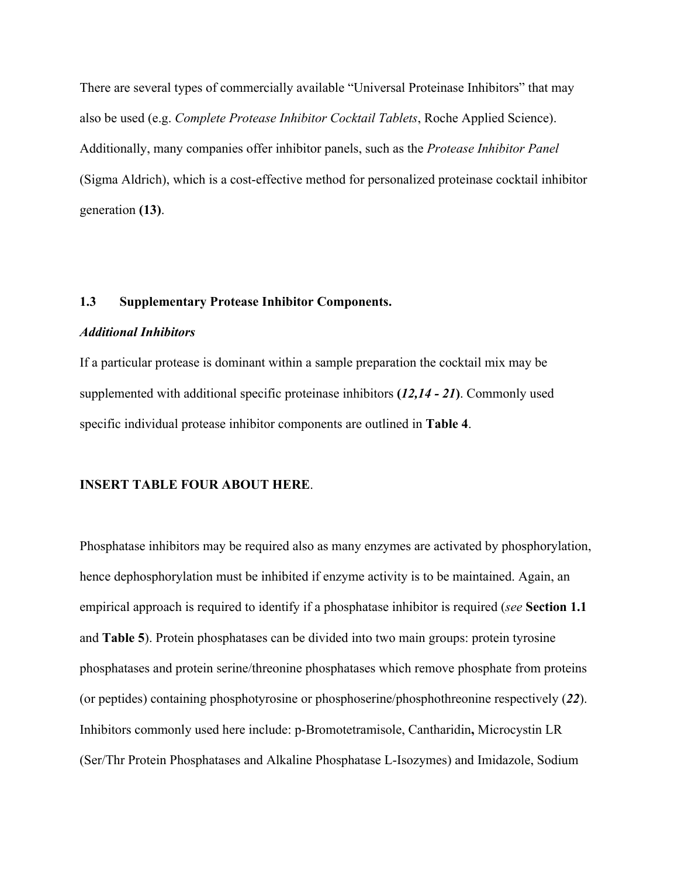There are several types of commercially available "Universal Proteinase Inhibitors" that may also be used (e.g. *Complete Protease Inhibitor Cocktail Tablets*, Roche Applied Science). Additionally, many companies offer inhibitor panels, such as the *Protease Inhibitor Panel* (Sigma Aldrich), which is a cost-effective method for personalized proteinase cocktail inhibitor generation **(13)**.

## **1.3 Supplementary Protease Inhibitor Components.**

#### *Additional Inhibitors*

If a particular protease is dominant within a sample preparation the cocktail mix may be supplemented with additional specific proteinase inhibitors **(***12,14 - 21***)**. Commonly used specific individual protease inhibitor components are outlined in **Table 4**.

#### **INSERT TABLE FOUR ABOUT HERE**.

Phosphatase inhibitors may be required also as many enzymes are activated by phosphorylation, hence dephosphorylation must be inhibited if enzyme activity is to be maintained. Again, an empirical approach is required to identify if a phosphatase inhibitor is required (*see* **Section 1.1** and **Table 5**). Protein phosphatases can be divided into two main groups: protein tyrosine phosphatases and protein serine/threonine phosphatases which remove phosphate from proteins (or peptides) containing phosphotyrosine or phosphoserine/phosphothreonine respectively (*22*). Inhibitors commonly used here include: p-Bromotetramisole, Cantharidin**,** Microcystin LR (Ser/Thr Protein Phosphatases and Alkaline Phosphatase L-Isozymes) and Imidazole, Sodium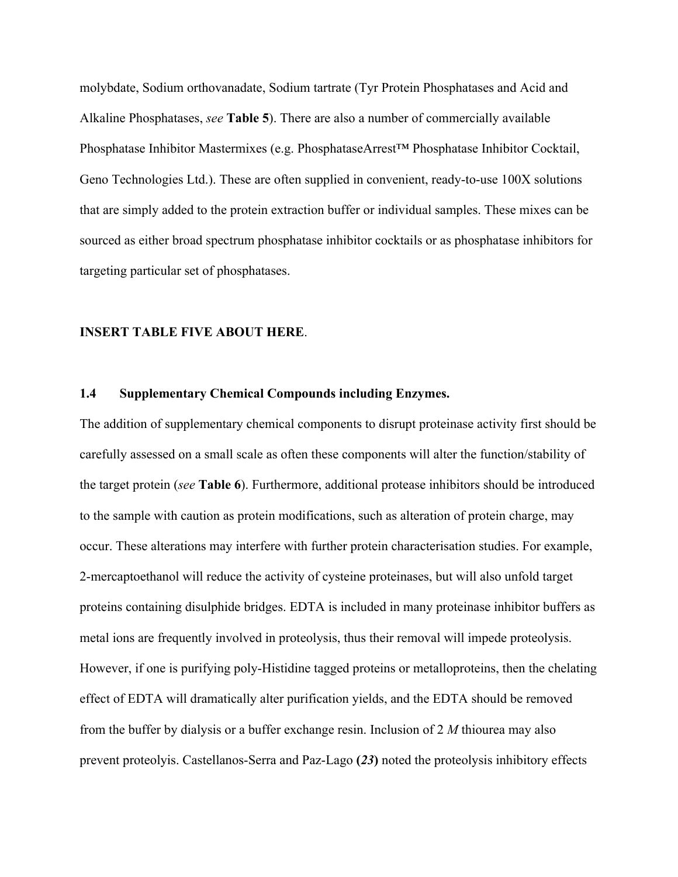molybdate, Sodium orthovanadate, Sodium tartrate (Tyr Protein Phosphatases and Acid and Alkaline Phosphatases, *see* **Table 5**). There are also a number of commercially available Phosphatase Inhibitor Mastermixes (e.g. PhosphataseArrest™ Phosphatase Inhibitor Cocktail, Geno Technologies Ltd.). These are often supplied in convenient, ready-to-use 100X solutions that are simply added to the protein extraction buffer or individual samples. These mixes can be sourced as either broad spectrum phosphatase inhibitor cocktails or as phosphatase inhibitors for targeting particular set of phosphatases.

#### **INSERT TABLE FIVE ABOUT HERE**.

#### **1.4 Supplementary Chemical Compounds including Enzymes.**

The addition of supplementary chemical components to disrupt proteinase activity first should be carefully assessed on a small scale as often these components will alter the function/stability of the target protein (*see* **Table 6**). Furthermore, additional protease inhibitors should be introduced to the sample with caution as protein modifications, such as alteration of protein charge, may occur. These alterations may interfere with further protein characterisation studies. For example, 2-mercaptoethanol will reduce the activity of cysteine proteinases, but will also unfold target proteins containing disulphide bridges. EDTA is included in many proteinase inhibitor buffers as metal ions are frequently involved in proteolysis, thus their removal will impede proteolysis. However, if one is purifying poly-Histidine tagged proteins or metalloproteins, then the chelating effect of EDTA will dramatically alter purification yields, and the EDTA should be removed from the buffer by dialysis or a buffer exchange resin. Inclusion of 2 *M* thiourea may also prevent proteolyis. Castellanos-Serra and Paz-Lago **(***23***)** noted the proteolysis inhibitory effects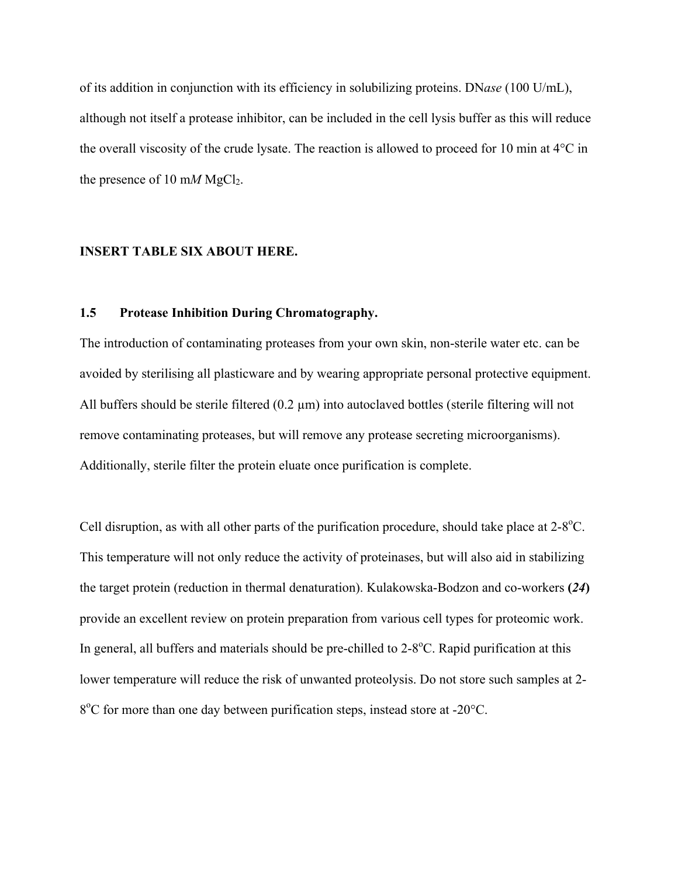of its addition in conjunction with its efficiency in solubilizing proteins. DN*ase* (100 U/mL), although not itself a protease inhibitor, can be included in the cell lysis buffer as this will reduce the overall viscosity of the crude lysate. The reaction is allowed to proceed for 10 min at 4°C in the presence of 10 m*M* MgCl<sub>2</sub>.

#### **INSERT TABLE SIX ABOUT HERE.**

## **1.5 Protease Inhibition During Chromatography.**

The introduction of contaminating proteases from your own skin, non-sterile water etc. can be avoided by sterilising all plasticware and by wearing appropriate personal protective equipment. All buffers should be sterile filtered  $(0.2 \mu m)$  into autoclaved bottles (sterile filtering will not remove contaminating proteases, but will remove any protease secreting microorganisms). Additionally, sterile filter the protein eluate once purification is complete.

Cell disruption, as with all other parts of the purification procedure, should take place at  $2-8^{\circ}$ C. This temperature will not only reduce the activity of proteinases, but will also aid in stabilizing the target protein (reduction in thermal denaturation). Kulakowska-Bodzon and co-workers **(***24***)** provide an excellent review on protein preparation from various cell types for proteomic work. In general, all buffers and materials should be pre-chilled to 2-8°C. Rapid purification at this lower temperature will reduce the risk of unwanted proteolysis. Do not store such samples at 2- 8<sup>o</sup>C for more than one day between purification steps, instead store at -20<sup>o</sup>C.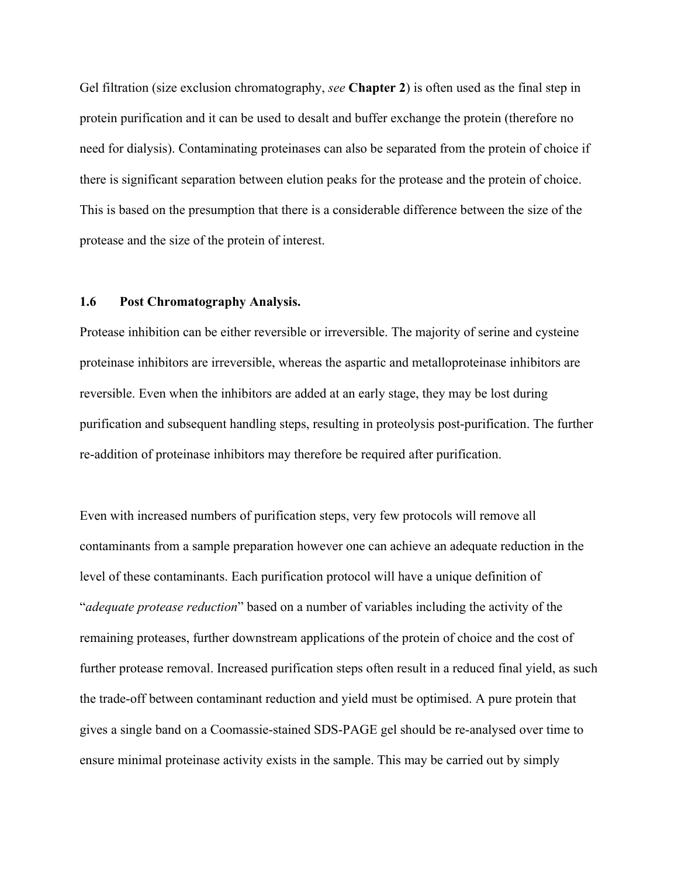Gel filtration (size exclusion chromatography, *see* **Chapter 2**) is often used as the final step in protein purification and it can be used to desalt and buffer exchange the protein (therefore no need for dialysis). Contaminating proteinases can also be separated from the protein of choice if there is significant separation between elution peaks for the protease and the protein of choice. This is based on the presumption that there is a considerable difference between the size of the protease and the size of the protein of interest.

## **1.6 Post Chromatography Analysis.**

Protease inhibition can be either reversible or irreversible. The majority of serine and cysteine proteinase inhibitors are irreversible, whereas the aspartic and metalloproteinase inhibitors are reversible. Even when the inhibitors are added at an early stage, they may be lost during purification and subsequent handling steps, resulting in proteolysis post-purification. The further re-addition of proteinase inhibitors may therefore be required after purification.

Even with increased numbers of purification steps, very few protocols will remove all contaminants from a sample preparation however one can achieve an adequate reduction in the level of these contaminants. Each purification protocol will have a unique definition of "*adequate protease reduction*" based on a number of variables including the activity of the remaining proteases, further downstream applications of the protein of choice and the cost of further protease removal. Increased purification steps often result in a reduced final yield, as such the trade-off between contaminant reduction and yield must be optimised. A pure protein that gives a single band on a Coomassie-stained SDS-PAGE gel should be re-analysed over time to ensure minimal proteinase activity exists in the sample. This may be carried out by simply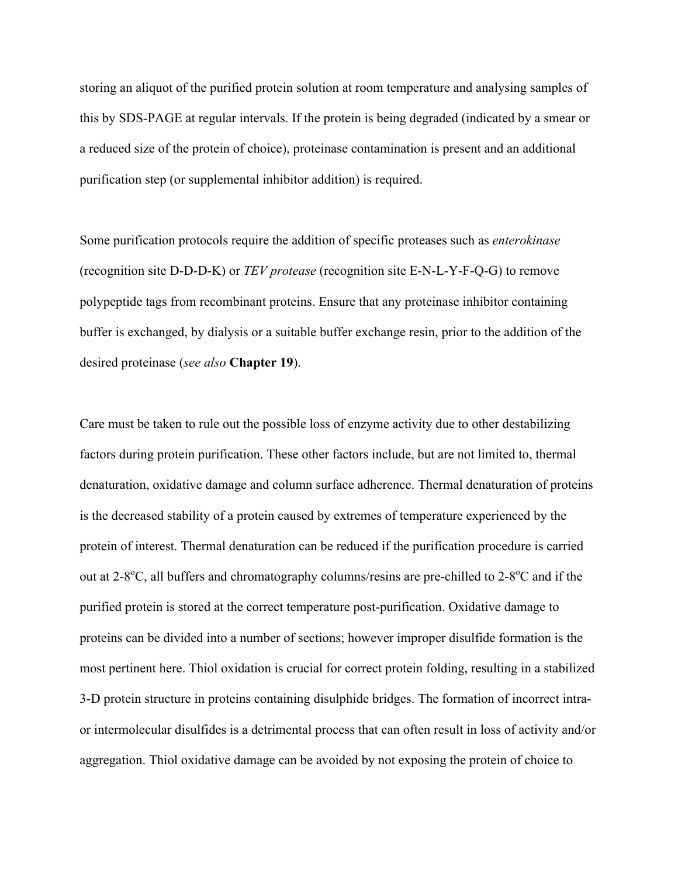storing an aliquot of the purified protein solution at room temperature and analysing samples of this by SDS-PAGE at regular intervals. If the protein is being degraded (indicated by a smear or a reduced size of the protein of choice), proteinase contamination is present and an additional purification step (or supplemental inhibitor addition) is required.

Some purification protocols require the addition of specific proteases such as *enterokinase* (recognition site D-D-D-K) or *TEV protease* (recognition site E-N-L-Y-F-Q-G) to remove polypeptide tags from recombinant proteins. Ensure that any proteinase inhibitor containing buffer is exchanged, by dialysis or a suitable buffer exchange resin, prior to the addition of the desired proteinase (*see also* **Chapter 19**).

Care must be taken to rule out the possible loss of enzyme activity due to other destabilizing factors during protein purification. These other factors include, but are not limited to, thermal denaturation, oxidative damage and column surface adherence. Thermal denaturation of proteins is the decreased stability of a protein caused by extremes of temperature experienced by the protein of interest. Thermal denaturation can be reduced if the purification procedure is carried out at  $2-8$ <sup>o</sup>C, all buffers and chromatography columns/resins are pre-chilled to  $2-8$ <sup>o</sup>C and if the purified protein is stored at the correct temperature post-purification. Oxidative damage to proteins can be divided into a number of sections; however improper disulfide formation is the most pertinent here. Thiol oxidation is crucial for correct protein folding, resulting in a stabilized 3-D protein structure in proteins containing disulphide bridges. The formation of incorrect intraor intermolecular disulfides is a detrimental process that can often result in loss of activity and/or aggregation. Thiol oxidative damage can be avoided by not exposing the protein of choice to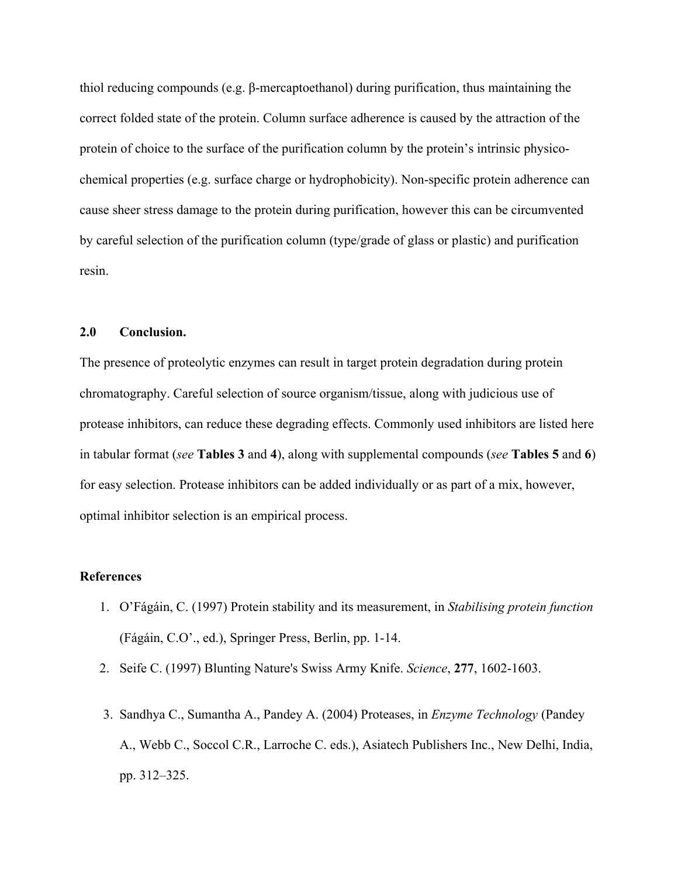thiol reducing compounds (e.g. β-mercaptoethanol) during purification, thus maintaining the correct folded state of the protein. Column surface adherence is caused by the attraction of the protein of choice to the surface of the purification column by the protein's intrinsic physicochemical properties (e.g. surface charge or hydrophobicity). Non-specific protein adherence can cause sheer stress damage to the protein during purification, however this can be circumvented by careful selection of the purification column (type/grade of glass or plastic) and purification resin.

#### **2.0 Conclusion.**

The presence of proteolytic enzymes can result in target protein degradation during protein chromatography. Careful selection of source organism/tissue, along with judicious use of protease inhibitors, can reduce these degrading effects. Commonly used inhibitors are listed here in tabular format (*see* **Tables 3** and **4**), along with supplemental compounds (*see* **Tables 5** and **6**) for easy selection. Protease inhibitors can be added individually or as part of a mix, however, optimal inhibitor selection is an empirical process.

## **References**

- 1. O'Fágáin, C. (1997) Protein stability and its measurement, in *Stabilising protein function* (Fágáin, C.O'., ed.), Springer Press, Berlin, pp. 1-14.
- 2. Seife C. (1997) Blunting Nature's Swiss Army Knife. *Science*, **277**, 1602-1603.
- 3. Sandhya C., Sumantha A., Pandey A. (2004) Proteases, in *Enzyme Technology* (Pandey A., Webb C., Soccol C.R., Larroche C. eds.), Asiatech Publishers Inc., New Delhi, India, pp. 312–325.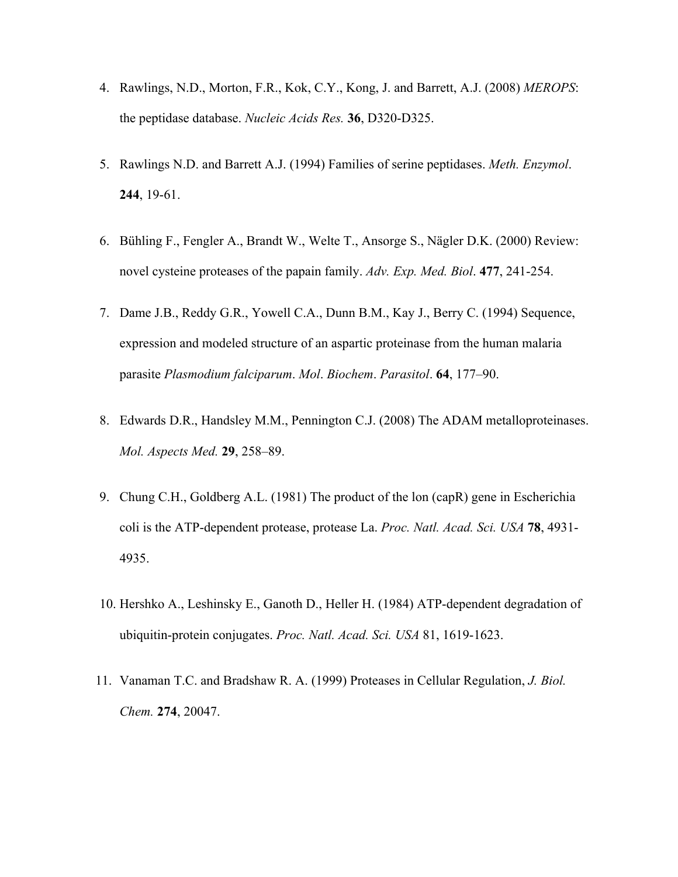- 4. Rawlings, N.D., Morton, F.R., Kok, C.Y., Kong, J. and Barrett, A.J. (2008) *MEROPS*: the peptidase database. *Nucleic Acids Res.* **36**, D320-D325.
- 5. Rawlings N.D. and Barrett A.J. (1994) Families of serine peptidases. *Meth. Enzymol*. **244**, 19-61.
- 6. Bühling F., Fengler A., Brandt W., Welte T., Ansorge S., Nägler D.K. (2000) Review: novel cysteine proteases of the papain family. *Adv. Exp. Med. Biol*. **477**, 241-254.
- 7. Dame J.B., Reddy G.R., Yowell C.A., Dunn B.M., Kay J., Berry C. (1994) Sequence, expression and modeled structure of an aspartic proteinase from the human malaria parasite *Plasmodium falciparum*. *Mol*. *Biochem*. *Parasitol*. **64**, 177–90.
- 8. Edwards D.R., Handsley M.M., Pennington C.J. (2008) The ADAM metalloproteinases. *Mol. Aspects Med.* **29**, 258–89.
- 9. Chung C.H., Goldberg A.L. (1981) The product of the lon (capR) gene in Escherichia coli is the ATP-dependent protease, protease La. *Proc. Natl. Acad. Sci. USA* **78**, 4931- 4935.
- 10. Hershko A., Leshinsky E., Ganoth D., Heller H. (1984) ATP-dependent degradation of ubiquitin-protein conjugates. *Proc. Natl. Acad. Sci. USA* 81, 1619-1623.
- 11. Vanaman T.C. and Bradshaw R. A. (1999) Proteases in Cellular Regulation, *J. Biol. Chem.* **274**, 20047.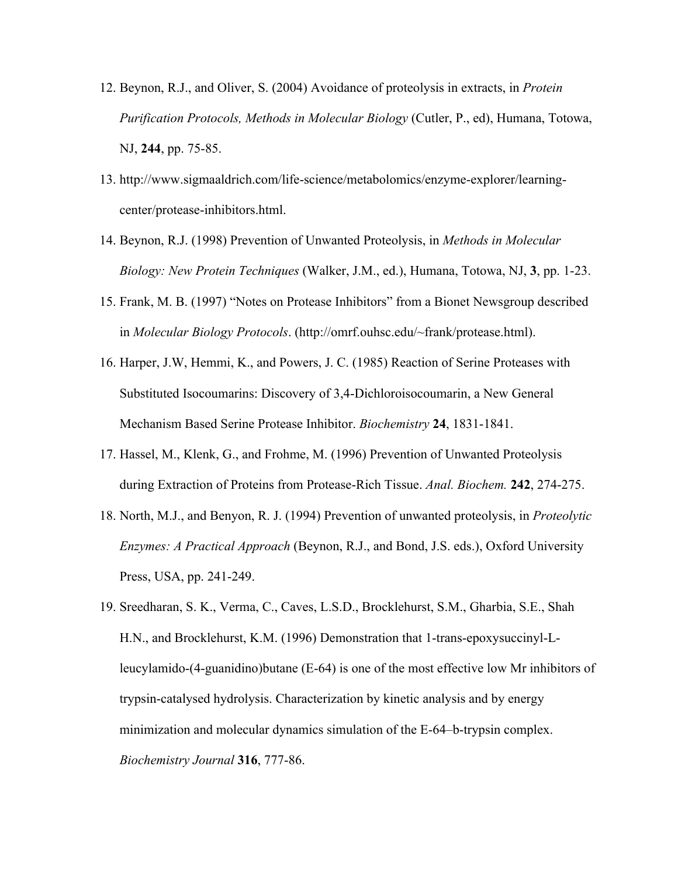- 12. Beynon, R.J., and Oliver, S. (2004) Avoidance of proteolysis in extracts, in *Protein Purification Protocols, Methods in Molecular Biology* (Cutler, P., ed), Humana, Totowa, NJ, **244**, pp. 75-85.
- 13. http://www.sigmaaldrich.com/life-science/metabolomics/enzyme-explorer/learningcenter/protease-inhibitors.html.
- 14. Beynon, R.J. (1998) Prevention of Unwanted Proteolysis, in *Methods in Molecular Biology: New Protein Techniques* (Walker, J.M., ed.), Humana, Totowa, NJ, **3**, pp. 1-23.
- 15. Frank, M. B. (1997) "Notes on Protease Inhibitors" from a Bionet Newsgroup described in *Molecular Biology Protocols*. (http://omrf.ouhsc.edu/~frank/protease.html).
- 16. Harper, J.W, Hemmi, K., and Powers, J. C. (1985) Reaction of Serine Proteases with Substituted Isocoumarins: Discovery of 3,4-Dichloroisocoumarin, a New General Mechanism Based Serine Protease Inhibitor. *Biochemistry* **24**, 1831-1841.
- 17. Hassel, M., Klenk, G., and Frohme, M. (1996) Prevention of Unwanted Proteolysis during Extraction of Proteins from Protease-Rich Tissue. *Anal. Biochem.* **242**, 274-275.
- 18. North, M.J., and Benyon, R. J. (1994) Prevention of unwanted proteolysis, in *Proteolytic Enzymes: A Practical Approach* (Beynon, R.J., and Bond, J.S. eds.), Oxford University Press, USA, pp. 241-249.
- 19. Sreedharan, S. K., Verma, C., Caves, L.S.D., Brocklehurst, S.M., Gharbia, S.E., Shah H.N., and Brocklehurst, K.M. (1996) Demonstration that 1-trans-epoxysuccinyl-Lleucylamido-(4-guanidino)butane (E-64) is one of the most effective low Mr inhibitors of trypsin-catalysed hydrolysis. Characterization by kinetic analysis and by energy minimization and molecular dynamics simulation of the E-64–b-trypsin complex. *Biochemistry Journal* **316**, 777-86.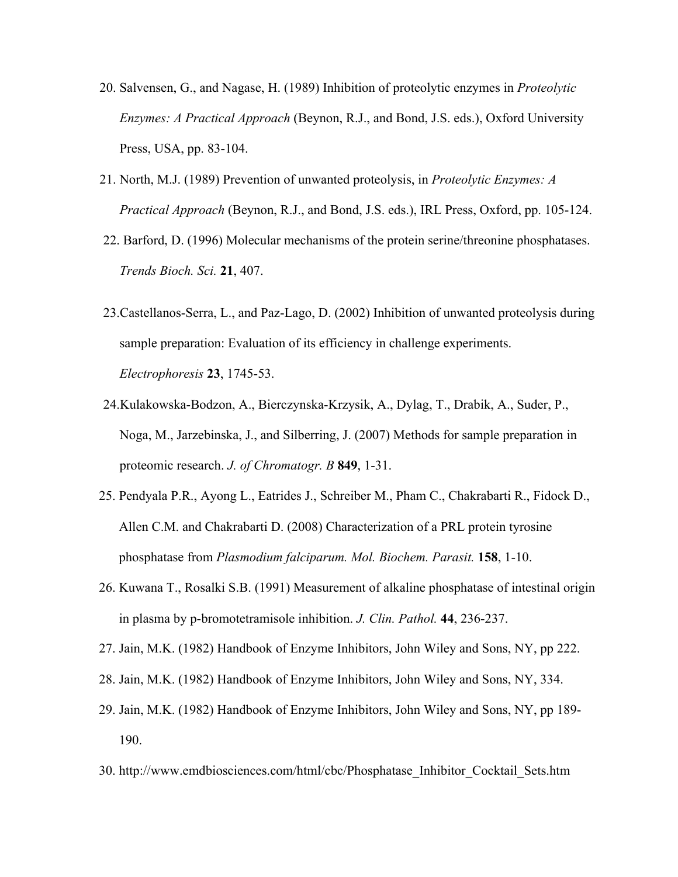- 20. Salvensen, G., and Nagase, H. (1989) Inhibition of proteolytic enzymes in *Proteolytic Enzymes: A Practical Approach* (Beynon, R.J., and Bond, J.S. eds.), Oxford University Press, USA, pp. 83-104.
- 21. North, M.J. (1989) Prevention of unwanted proteolysis, in *Proteolytic Enzymes: A Practical Approach* (Beynon, R.J., and Bond, J.S. eds.), IRL Press, Oxford, pp. 105-124.
- 22. Barford, D. (1996) Molecular mechanisms of the protein serine/threonine phosphatases. *Trends Bioch. Sci.* **21**, 407.
- 23.Castellanos-Serra, L., and Paz-Lago, D. (2002) Inhibition of unwanted proteolysis during sample preparation: Evaluation of its efficiency in challenge experiments. *Electrophoresis* **23**, 1745-53.
- 24.Kulakowska-Bodzon, A., Bierczynska-Krzysik, A., Dylag, T., Drabik, A., Suder, P., Noga, M., Jarzebinska, J., and Silberring, J. (2007) Methods for sample preparation in proteomic research. *J. of Chromatogr. B* **849**, 1-31.
- 25. Pendyala P.R., Ayong L., Eatrides J., Schreiber M., Pham C., Chakrabarti R., Fidock D., Allen C.M. and Chakrabarti D. (2008) Characterization of a PRL protein tyrosine phosphatase from *Plasmodium falciparum. Mol. Biochem. Parasit.* **158**, 1-10.
- 26. Kuwana T., Rosalki S.B. (1991) Measurement of alkaline phosphatase of intestinal origin in plasma by p-bromotetramisole inhibition. *J. Clin. Pathol.* **44**, 236-237.
- 27. Jain, M.K. (1982) Handbook of Enzyme Inhibitors, John Wiley and Sons, NY, pp 222.
- 28. Jain, M.K. (1982) Handbook of Enzyme Inhibitors, John Wiley and Sons, NY, 334.
- 29. Jain, M.K. (1982) Handbook of Enzyme Inhibitors, John Wiley and Sons, NY, pp 189- 190.
- 30. http://www.emdbiosciences.com/html/cbc/Phosphatase\_Inhibitor\_Cocktail\_Sets.htm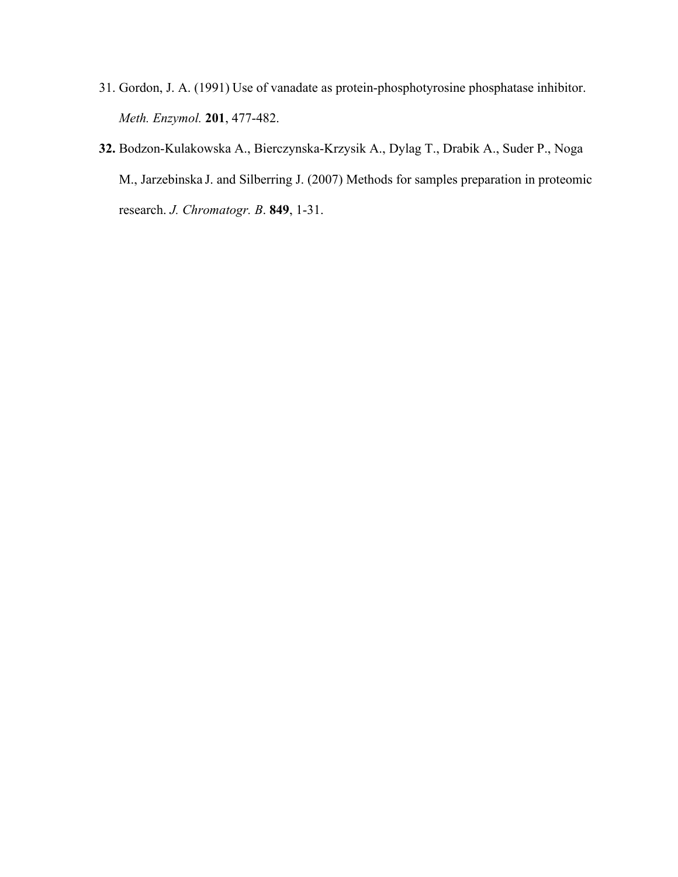- 31. Gordon, J. A. (1991) Use of vanadate as protein-phosphotyrosine phosphatase inhibitor. *Meth. Enzymol.* **201**, 477-482.
- **32.** Bodzon-Kulakowska A., Bierczynska-Krzysik A., Dylag T., Drabik A., Suder P., Noga M., Jarzebinska J. and Silberring J. (2007) Methods for samples preparation in proteomic research. *J. Chromatogr. B*. **849**, 1-31.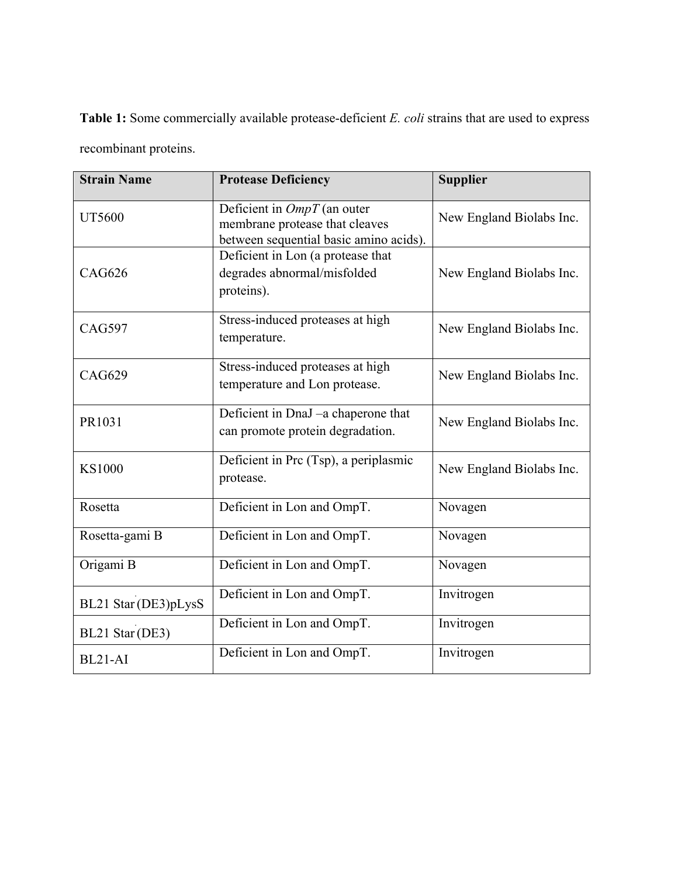**Table 1:** Some commercially available protease-deficient *E. coli* strains that are used to express recombinant proteins.

| <b>Strain Name</b>   | <b>Protease Deficiency</b>                                                                                | <b>Supplier</b>          |  |
|----------------------|-----------------------------------------------------------------------------------------------------------|--------------------------|--|
| <b>UT5600</b>        | Deficient in $OmpT$ (an outer<br>membrane protease that cleaves<br>between sequential basic amino acids). | New England Biolabs Inc. |  |
| <b>CAG626</b>        | Deficient in Lon (a protease that<br>degrades abnormal/misfolded<br>proteins).                            | New England Biolabs Inc. |  |
| <b>CAG597</b>        | Stress-induced proteases at high<br>temperature.                                                          | New England Biolabs Inc. |  |
| <b>CAG629</b>        | Stress-induced proteases at high<br>temperature and Lon protease.                                         | New England Biolabs Inc. |  |
| PR1031               | Deficient in DnaJ -a chaperone that<br>can promote protein degradation.                                   | New England Biolabs Inc. |  |
| <b>KS1000</b>        | Deficient in Prc (Tsp), a periplasmic<br>protease.                                                        | New England Biolabs Inc. |  |
| Rosetta              | Deficient in Lon and OmpT.                                                                                | Novagen                  |  |
| Rosetta-gami B       | Deficient in Lon and OmpT.                                                                                | Novagen                  |  |
| Origami B            | Deficient in Lon and OmpT.                                                                                | Novagen                  |  |
| BL21 Star (DE3)pLysS | Deficient in Lon and OmpT.                                                                                | Invitrogen               |  |
| BL21 Star (DE3)      | Deficient in Lon and OmpT.                                                                                | Invitrogen               |  |
| BL21-AI              | Deficient in Lon and OmpT.                                                                                | Invitrogen               |  |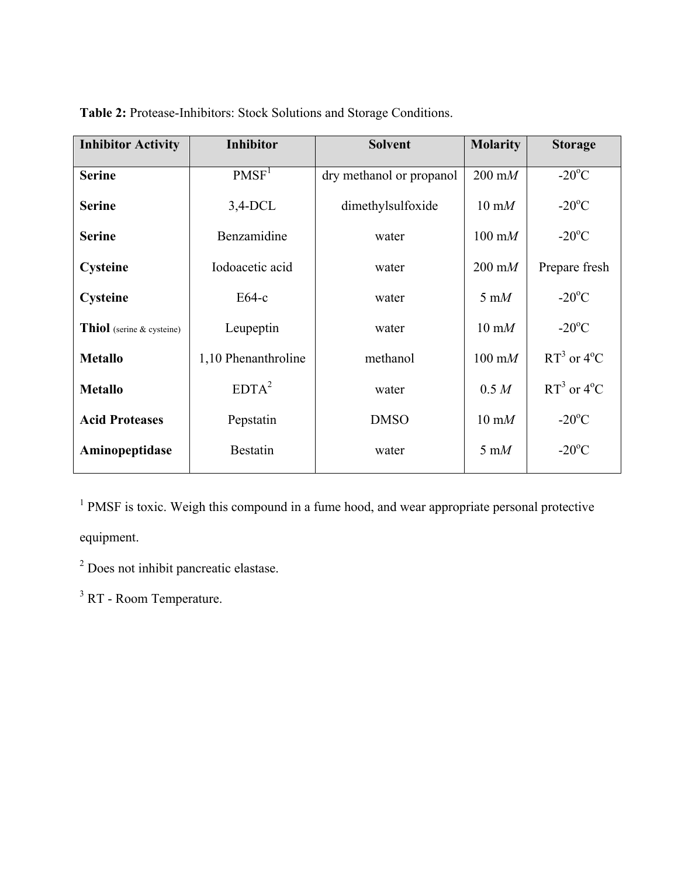| <b>Inhibitor Activity</b> | <b>Inhibitor</b>    | <b>Solvent</b>           | <b>Molarity</b>         | <b>Storage</b>         |
|---------------------------|---------------------|--------------------------|-------------------------|------------------------|
| <b>Serine</b>             | PMSF <sup>1</sup>   | dry methanol or propanol | $200 \text{ m}$         | $-20^{\circ}$ C        |
| <b>Serine</b>             | $3,4$ -DCL          | dimethylsulfoxide        | $10 \text{ m}$          | $-20^{\circ}$ C        |
| <b>Serine</b>             | Benzamidine         | water                    | $100 \text{ m}$         | $-20^{\circ}$ C        |
| <b>Cysteine</b>           | Iodoacetic acid     | water                    | $200 \text{ m}$         | Prepare fresh          |
| Cysteine                  | $E64-c$             | water                    | $5 \text{ m}$           | $-20^{\circ}$ C        |
| Thiol (serine & cysteine) | Leupeptin           | water                    | $10 \text{ m}$          | $-20^{\circ}$ C        |
| <b>Metallo</b>            | 1,10 Phenanthroline | methanol                 | $100 \text{ m}$         | $RT^3$ or $4^{\circ}C$ |
| <b>Metallo</b>            | $EDTA^2$            | water                    | 0.5 M                   | $RT^3$ or $4^{\circ}C$ |
| <b>Acid Proteases</b>     | Pepstatin           | <b>DMSO</b>              | $10 \text{ mM}$         | $-20^{\circ}$ C        |
| Aminopeptidase            | <b>Bestatin</b>     | water                    | $5 \text{ }\mathrm{m}M$ | $-20^{\circ}$ C        |

**Table 2:** Protease-Inhibitors: Stock Solutions and Storage Conditions.

<sup>1</sup> PMSF is toxic. Weigh this compound in a fume hood, and wear appropriate personal protective equipment.

<sup>2</sup> Does not inhibit pancreatic elastase.

<sup>3</sup> RT - Room Temperature.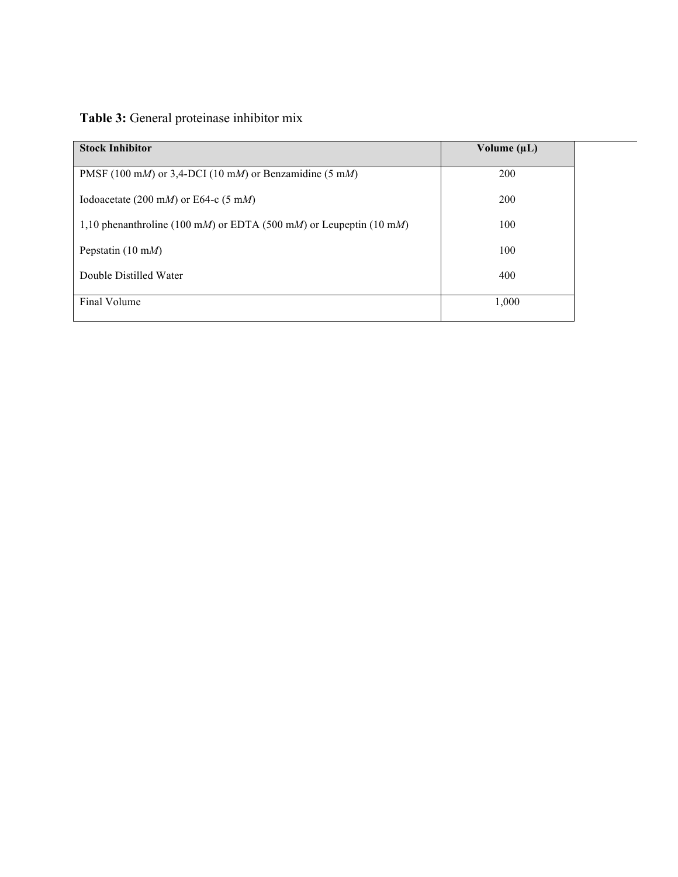## **Table 3:** General proteinase inhibitor mix

| <b>Stock Inhibitor</b>                                             | Volume $(\mu L)$ |
|--------------------------------------------------------------------|------------------|
| PMSF (100 mM) or 3,4-DCI (10 mM) or Benzamidine (5 mM)             | <b>200</b>       |
|                                                                    |                  |
| Iodoacetate (200 mM) or E64-c (5 mM)                               | 200              |
| 1,10 phenanthroline (100 mM) or EDTA (500 mM) or Leupeptin (10 mM) | 100              |
| Pepstatin $(10 \text{ m})$                                         | 100              |
| Double Distilled Water                                             | 400              |
|                                                                    |                  |
| Final Volume                                                       | 1,000            |
|                                                                    |                  |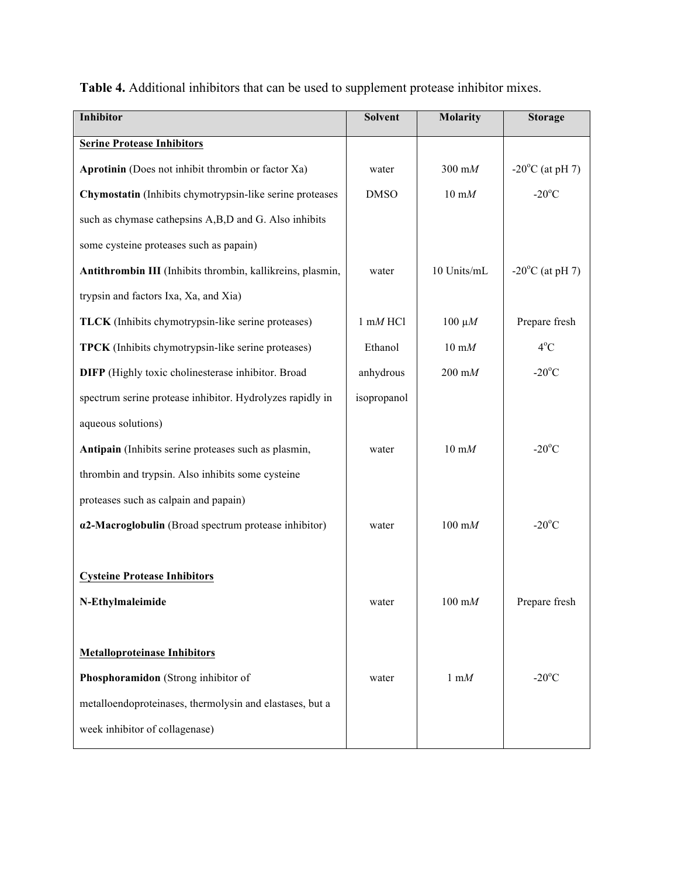| Inhibitor                                                    | Solvent             | <b>Molarity</b>           | <b>Storage</b>            |
|--------------------------------------------------------------|---------------------|---------------------------|---------------------------|
| <b>Serine Protease Inhibitors</b>                            |                     |                           |                           |
| Aprotinin (Does not inhibit thrombin or factor Xa)           | water               | $300 \text{ m}$           | $-20^{\circ}$ C (at pH 7) |
| Chymostatin (Inhibits chymotrypsin-like serine proteases     | <b>DMSO</b>         | $10 \text{ m}$            | $-20^{\circ}$ C           |
| such as chymase cathepsins A,B,D and G. Also inhibits        |                     |                           |                           |
| some cysteine proteases such as papain)                      |                     |                           |                           |
| Antithrombin III (Inhibits thrombin, kallikreins, plasmin,   | water               | 10 Units/mL               | $-20^{\circ}$ C (at pH 7) |
| trypsin and factors Ixa, Xa, and Xia)                        |                     |                           |                           |
| <b>TLCK</b> (Inhibits chymotrypsin-like serine proteases)    | $1 \text{ mM } HCl$ | $100 \mu M$               | Prepare fresh             |
| <b>TPCK</b> (Inhibits chymotrypsin-like serine proteases)    | Ethanol             | $10 \text{ }\mathrm{m}M$  | $4^{\circ}$ C             |
| <b>DIFP</b> (Highly toxic cholinesterase inhibitor. Broad    | anhydrous           | $200 \text{ m}$           | $-20^{\circ}$ C           |
| spectrum serine protease inhibitor. Hydrolyzes rapidly in    | isopropanol         |                           |                           |
| aqueous solutions)                                           |                     |                           |                           |
| Antipain (Inhibits serine proteases such as plasmin,         | water               | $10 \text{ m}$            | $-20^{\circ}$ C           |
| thrombin and trypsin. Also inhibits some cysteine            |                     |                           |                           |
| proteases such as calpain and papain)                        |                     |                           |                           |
| $\alpha$ 2-Macroglobulin (Broad spectrum protease inhibitor) | water               | $100 \text{ m}$           | $-20^{\circ}$ C           |
|                                                              |                     |                           |                           |
| <b>Cysteine Protease Inhibitors</b>                          |                     |                           |                           |
| N-Ethylmaleimide                                             | water               | $100 \text{ }\mathrm{m}M$ | Prepare fresh             |
|                                                              |                     |                           |                           |
| <b>Metalloproteinase Inhibitors</b>                          |                     |                           |                           |
| Phosphoramidon (Strong inhibitor of                          | water               | $1 \text{ }\mathrm{m}M$   | $-20^{\circ}$ C           |
| metalloendoproteinases, thermolysin and elastases, but a     |                     |                           |                           |
| week inhibitor of collagenase)                               |                     |                           |                           |
|                                                              |                     |                           |                           |

**Table 4.** Additional inhibitors that can be used to supplement protease inhibitor mixes.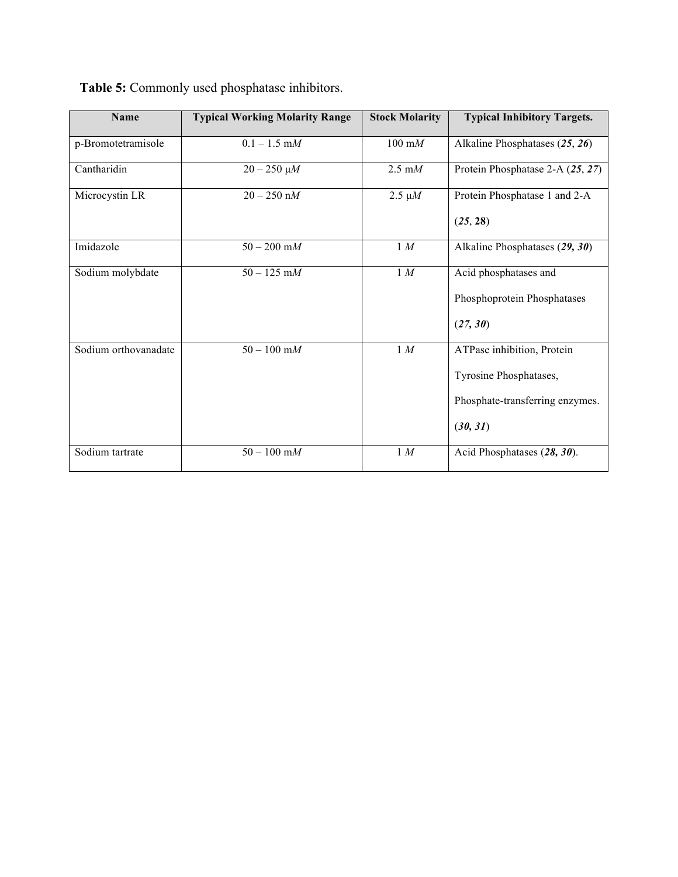| <b>Name</b>          | <b>Typical Working Molarity Range</b> | <b>Stock Molarity</b>     | <b>Typical Inhibitory Targets.</b>                                                                  |
|----------------------|---------------------------------------|---------------------------|-----------------------------------------------------------------------------------------------------|
| p-Bromotetramisole   | $0.1 - 1.5$ m $M$                     | $100 \text{ }\mathrm{m}M$ | Alkaline Phosphatases (25, 26)                                                                      |
| Cantharidin          | $20 - 250 \mu M$                      | $2.5 \text{ mM}$          | Protein Phosphatase 2-A (25, 27)                                                                    |
| Microcystin LR       | $20 - 250$ nM                         | $2.5 \mu M$               | Protein Phosphatase 1 and 2-A<br>(25, 28)                                                           |
| Imidazole            | $50 - 200$ m $M$                      | 1 M                       | Alkaline Phosphatases (29, 30)                                                                      |
| Sodium molybdate     | $50 - 125$ m $M$                      | 1 M                       | Acid phosphatases and<br>Phosphoprotein Phosphatases<br>(27, 30)                                    |
| Sodium orthovanadate | $50 - 100$ m $M$                      | 1 M                       | ATPase inhibition, Protein<br>Tyrosine Phosphatases,<br>Phosphate-transferring enzymes.<br>(30, 31) |
| Sodium tartrate      | $50 - 100$ m $M$                      | 1 M                       | Acid Phosphatases (28, 30).                                                                         |

**Table 5:** Commonly used phosphatase inhibitors.